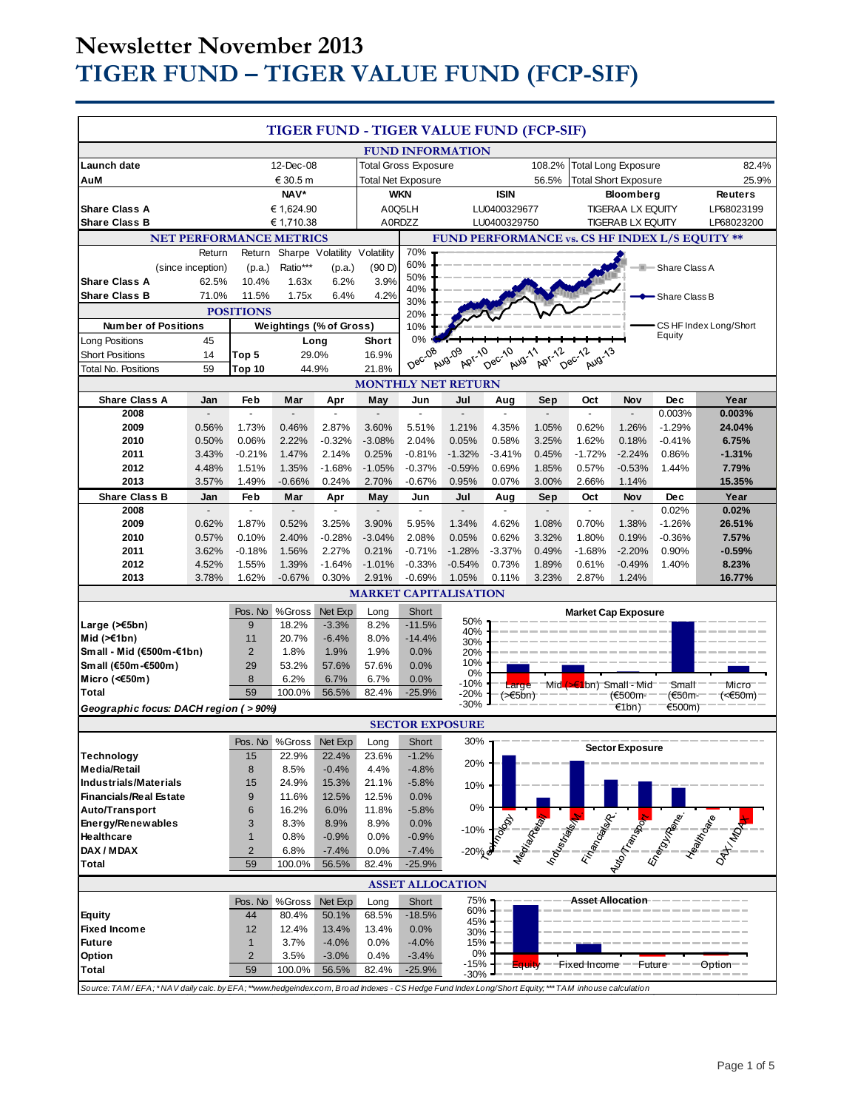# **Newsletter November 2013 TIGER FUND – TIGER VALUE FUND (FCP-SIF)**

| TIGER FUND - TIGER VALUE FUND (FCP-SIF)                                                                                                            |                   |                                |                             |                                |               |                                                                     |                                                |                       |        |                                 |                                              |                   |                                          |
|----------------------------------------------------------------------------------------------------------------------------------------------------|-------------------|--------------------------------|-----------------------------|--------------------------------|---------------|---------------------------------------------------------------------|------------------------------------------------|-----------------------|--------|---------------------------------|----------------------------------------------|-------------------|------------------------------------------|
|                                                                                                                                                    |                   |                                |                             | <b>FUND INFORMATION</b>        |               |                                                                     |                                                |                       |        |                                 |                                              |                   |                                          |
| Launch date<br>12-Dec-08                                                                                                                           |                   |                                | <b>Total Gross Exposure</b> |                                |               | <b>Total Long Exposure</b><br>108.2%<br><b>Total Short Exposure</b> |                                                |                       |        | 82.4%                           |                                              |                   |                                          |
| AuM                                                                                                                                                |                   |                                | € 30.5 m<br>NAV*            |                                |               | Total Net Exposure<br><b>WKN</b>                                    |                                                | <b>ISIN</b>           | 56.5%  |                                 |                                              |                   | 25.9%                                    |
| <b>Share Class A</b>                                                                                                                               |                   |                                | € 1,624.90                  |                                |               | A0Q5LH                                                              |                                                | LU0400329677          |        |                                 | <b>Bloomberg</b><br><b>TIGERAA LX EQUITY</b> |                   | <b>Reuters</b><br>LP68023199             |
| <b>Share Class B</b>                                                                                                                               |                   |                                | € 1,710.38                  |                                |               | A0RDZZ                                                              |                                                | LU0400329750          |        |                                 | <b>TIGERAB LX EQUITY</b>                     |                   | LP68023200                               |
|                                                                                                                                                    |                   | <b>NET PERFORMANCE METRICS</b> |                             |                                |               |                                                                     | FUND PERFORMANCE vs. CS HF INDEX L/S EQUITY ** |                       |        |                                 |                                              |                   |                                          |
| Return                                                                                                                                             |                   | Sharpe Volatility<br>Return    |                             |                                | Volatility    | 70%                                                                 |                                                |                       |        |                                 |                                              |                   |                                          |
|                                                                                                                                                    | (since inception) | (p.a.)                         | Ratio***                    | (p.a.)                         | (90D)         | 60%                                                                 |                                                |                       |        |                                 |                                              | - Share Class A   |                                          |
| <b>Share Class A</b>                                                                                                                               | 62.5%             | 10.4%                          | 1.63x                       | 6.2%                           | 3.9%          | 50%                                                                 |                                                |                       |        |                                 |                                              |                   |                                          |
| <b>Share Class B</b>                                                                                                                               | 71.0%             | 11.5%                          | 1.75x                       | 6.4%                           | 4.2%          | 40%<br>30%                                                          |                                                |                       |        |                                 |                                              | Share Class B     |                                          |
| <b>POSITIONS</b>                                                                                                                                   |                   |                                |                             | 20%                            |               |                                                                     |                                                |                       |        |                                 |                                              |                   |                                          |
| <b>Number of Positions</b>                                                                                                                         |                   |                                |                             | <b>Weightings (% of Gross)</b> |               | 10%                                                                 |                                                |                       |        |                                 |                                              | Equity            | CS HF Index Long/Short                   |
| Long Positions                                                                                                                                     | 45                |                                |                             | Long                           | Short         | 0%                                                                  |                                                |                       |        |                                 |                                              |                   |                                          |
| <b>Short Positions</b>                                                                                                                             | 14                | Top 5                          |                             | 29.0%                          | 16.9%         | Dec-08                                                              | <b>Apr-10</b><br>Aug-09                        | Dec-10<br>Aug-11      | Apr-12 | Dec-12<br>Aug-13                |                                              |                   |                                          |
| <b>Total No. Positions</b>                                                                                                                         | 59                | Top 10                         |                             | 44.9%                          | 21.8%         |                                                                     | <b>MONTHLY NET RETURN</b>                      |                       |        |                                 |                                              |                   |                                          |
| <b>Share Class A</b>                                                                                                                               | Jan               | Feb                            | Mar                         | Apr                            | May           | Jun                                                                 | Jul                                            | Aug                   | Sep    | Oct                             | Nov                                          | <b>Dec</b>        | Year                                     |
| 2008                                                                                                                                               |                   |                                |                             |                                |               |                                                                     |                                                |                       |        |                                 |                                              | 0.003%            | 0.003%                                   |
| 2009                                                                                                                                               | 0.56%             | 1.73%                          | 0.46%                       | 2.87%                          | 3.60%         | 5.51%                                                               | 1.21%                                          | 4.35%                 | 1.05%  | 0.62%                           | 1.26%                                        | $-1.29%$          | 24.04%                                   |
| 2010                                                                                                                                               | 0.50%             | 0.06%                          | 2.22%                       | $-0.32%$                       | $-3.08%$      | 2.04%                                                               | 0.05%                                          | 0.58%                 | 3.25%  | 1.62%                           | 0.18%                                        | $-0.41%$          | 6.75%                                    |
| 2011                                                                                                                                               | 3.43%             | $-0.21%$                       | 1.47%                       | 2.14%                          | 0.25%         | $-0.81%$                                                            | $-1.32%$                                       | $-3.41%$              | 0.45%  | $-1.72%$                        | $-2.24%$                                     | 0.86%             | $-1.31%$                                 |
| 2012                                                                                                                                               | 4.48%             | 1.51%                          | 1.35%                       | $-1.68%$                       | $-1.05%$      | $-0.37%$                                                            | $-0.59%$                                       | 0.69%                 | 1.85%  | 0.57%                           | $-0.53%$                                     | 1.44%             | 7.79%                                    |
| 2013                                                                                                                                               | 3.57%             | 1.49%                          | $-0.66%$                    | 0.24%                          | 2.70%         | $-0.67%$                                                            | 0.95%                                          | 0.07%                 | 3.00%  | 2.66%                           | 1.14%                                        |                   | 15.35%                                   |
| <b>Share Class B</b>                                                                                                                               | Jan               | Feb<br>$\overline{a}$          | Mar                         | Apr                            | May           | Jun<br>$\overline{\phantom{a}}$                                     | Jul                                            | Aug                   | Sep    | Oct                             | Nov                                          | Dec               | Year                                     |
| 2008<br>2009                                                                                                                                       | 0.62%             | 1.87%                          | 0.52%                       | 3.25%                          | 3.90%         | 5.95%                                                               | 1.34%                                          | 4.62%                 | 1.08%  | $\blacksquare$<br>0.70%         | 1.38%                                        | 0.02%<br>$-1.26%$ | 0.02%<br>26.51%                          |
| 2010                                                                                                                                               | 0.57%             | 0.10%                          | 2.40%                       | $-0.28%$                       | $-3.04%$      | 2.08%                                                               | 0.05%                                          | 0.62%                 | 3.32%  | 1.80%                           | 0.19%                                        | $-0.36%$          | 7.57%                                    |
| 2011                                                                                                                                               | 3.62%             | $-0.18%$                       | 1.56%                       | 2.27%                          | 0.21%         | $-0.71%$                                                            | $-1.28%$                                       | $-3.37%$              | 0.49%  | $-1.68%$                        | $-2.20%$                                     | 0.90%             | $-0.59%$                                 |
| 2012                                                                                                                                               | 4.52%             | 1.55%                          | 1.39%                       | $-1.64%$                       | $-1.01%$      | $-0.33%$                                                            | $-0.54%$                                       | 0.73%                 | 1.89%  | 0.61%                           | $-0.49%$                                     | 1.40%             | 8.23%                                    |
| 2013                                                                                                                                               | 3.78%             | 1.62%                          | $-0.67%$                    | 0.30%                          | 2.91%         | $-0.69%$                                                            | 1.05%                                          | 0.11%                 | 3.23%  | 2.87%                           | 1.24%                                        |                   | 16.77%                                   |
|                                                                                                                                                    |                   |                                |                             |                                |               |                                                                     | <b>MARKET CAPITALISATION</b>                   |                       |        |                                 |                                              |                   |                                          |
|                                                                                                                                                    |                   | Pos. No                        | %Gross                      | Net Exp                        | Long          | Short                                                               |                                                |                       |        | <b>Market Cap Exposure</b>      |                                              |                   |                                          |
| Large $($ $\leq$ 5bn $)$                                                                                                                           |                   | 9                              | 18.2%                       | $-3.3%$                        | 8.2%          | $-11.5%$                                                            | 50%<br>40%                                     |                       |        |                                 |                                              |                   |                                          |
| Mid $(\ge 1$ bn)                                                                                                                                   |                   | 11                             | 20.7%                       | $-6.4%$                        | 8.0%          | $-14.4%$                                                            | 30%                                            |                       |        |                                 |                                              |                   |                                          |
| Small - Mid (€500m-€1bn)                                                                                                                           |                   | $\overline{2}$                 | 1.8%                        | 1.9%                           | 1.9%          | 0.0%                                                                | 20%                                            |                       |        |                                 |                                              |                   |                                          |
| Small (€50m-€500m)                                                                                                                                 |                   | 29                             | 53.2%                       | 57.6%                          | 57.6%         | 0.0%                                                                | 10%<br>0%                                      |                       |        |                                 |                                              |                   |                                          |
| Micro (<€50m)<br><b>Total</b>                                                                                                                      |                   | 8<br>59                        | 6.2%<br>100.0%              | 6.7%<br>56.5%                  | 6.7%<br>82.4% | 0.0%<br>$-25.9%$                                                    | $-10%$                                         | Large                 |        | Mid $($ $\leq$ 1bn) Small - Mid |                                              | Small             | Micro                                    |
| Geographic focus: DACH region (>90%)                                                                                                               |                   |                                |                             |                                |               |                                                                     | $-20%$<br>$-30%$                               | $($ > $\epsilon$ 5bn) |        |                                 | (€500m-<br>€1bn)                             | (€50m-<br>€500m)  | (<€50m) <sup>-</sup>                     |
|                                                                                                                                                    |                   |                                |                             |                                |               |                                                                     | <b>SECTOR EXPOSURE</b>                         |                       |        |                                 |                                              |                   |                                          |
|                                                                                                                                                    |                   |                                |                             | Pos. No %Gross Net Exp         | Long          | Short                                                               | 30%                                            |                       |        |                                 |                                              |                   |                                          |
| Technology                                                                                                                                         |                   | 15                             | 22.9%                       | 22.4%                          | 23.6%         | $-1.2%$                                                             |                                                |                       |        |                                 | <b>Sector Exposure</b>                       |                   |                                          |
| <b>Media/Retail</b>                                                                                                                                |                   | 8                              | 8.5%                        | $-0.4%$                        | 4.4%          | $-4.8%$                                                             | 20%                                            |                       |        |                                 |                                              |                   |                                          |
| <b>Industrials/Materials</b>                                                                                                                       |                   | 15                             | 24.9%                       | 15.3%                          | 21.1%         | $-5.8%$                                                             | 10%                                            |                       |        |                                 |                                              |                   |                                          |
| <b>Financials/Real Estate</b>                                                                                                                      |                   | 9                              | 11.6%                       | 12.5%                          | 12.5%         | 0.0%                                                                |                                                |                       |        |                                 |                                              |                   |                                          |
| Auto/Transport                                                                                                                                     |                   | 6                              | 16.2%                       | 6.0%                           | 11.8%         | $-5.8%$                                                             | 0%                                             |                       |        |                                 |                                              |                   |                                          |
| Energy/Renewables                                                                                                                                  |                   | 3                              | 8.3%                        | 8.9%                           | 8.9%          | 0.0%                                                                | $-10%$                                         |                       |        |                                 |                                              |                   |                                          |
| Healthcare                                                                                                                                         |                   | $\mathbf{1}$                   | 0.8%                        | $-0.9%$                        | 0.0%          | $-0.9%$                                                             |                                                |                       |        |                                 |                                              |                   |                                          |
| DAX / MDAX<br>Total                                                                                                                                |                   | $\overline{2}$<br>59           | 6.8%<br>100.0%              | $-7.4%$<br>56.5%               | 0.0%<br>82.4% | $-7.4%$<br>$-25.9%$                                                 | $-20\%$                                        |                       |        |                                 |                                              |                   | Manufacture Reserved President President |
|                                                                                                                                                    |                   |                                |                             |                                |               |                                                                     |                                                |                       |        |                                 |                                              |                   |                                          |
| <b>ASSET ALLOCATION</b>                                                                                                                            |                   |                                |                             |                                |               |                                                                     |                                                |                       |        |                                 |                                              |                   |                                          |
|                                                                                                                                                    |                   | Pos. No                        | %Gross                      | Net Exp                        | Long          | Short                                                               | 75%<br>60%                                     |                       |        | Asset Allocation                |                                              |                   |                                          |
| <b>Equity</b>                                                                                                                                      |                   | 44                             | 80.4%                       | 50.1%                          | 68.5%         | $-18.5%$                                                            | 45%                                            |                       |        |                                 |                                              |                   |                                          |
| <b>Fixed Income</b><br><b>Future</b>                                                                                                               |                   | 12<br>$\mathbf{1}$             | 12.4%<br>3.7%               | 13.4%<br>$-4.0%$               | 13.4%<br>0.0% | 0.0%<br>$-4.0%$                                                     | 30%<br>15%                                     |                       |        |                                 |                                              |                   |                                          |
| Option                                                                                                                                             |                   | $\overline{2}$                 | 3.5%                        | $-3.0%$                        | 0.4%          | $-3.4%$                                                             | 0%                                             |                       |        |                                 |                                              |                   |                                          |
| Total                                                                                                                                              |                   | 59                             | 100.0%                      | 56.5%                          | 82.4%         | $-25.9%$                                                            | -15%<br>-30%                                   | ⊨quity                |        | Fixed Income                    | Future                                       |                   | Option <sup>®</sup>                      |
| Source: TAM/EFA; *NAV daily calc. by EFA; **www.hedgeindex.com, Broad Indexes - CS Hedge Fund Index Long/Short Equity; *** TAM inhouse calculation |                   |                                |                             |                                |               |                                                                     |                                                |                       |        |                                 |                                              |                   |                                          |
|                                                                                                                                                    |                   |                                |                             |                                |               |                                                                     |                                                |                       |        |                                 |                                              |                   |                                          |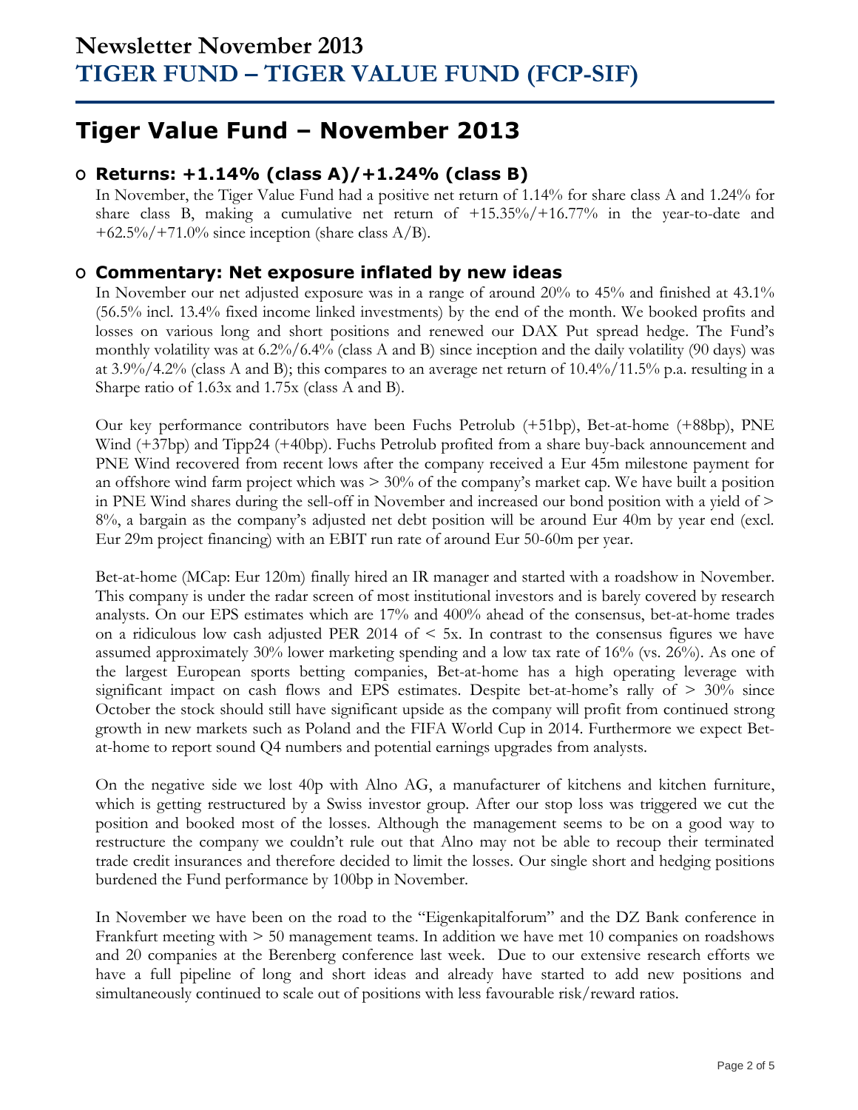# **Tiger Value Fund – November 2013**

## **O Returns: +1.14% (class A)/+1.24% (class B)**

In November, the Tiger Value Fund had a positive net return of 1.14% for share class A and 1.24% for share class B, making a cumulative net return of +15.35%/+16.77% in the year-to-date and  $+62.5\%/+71.0\%$  since inception (share class A/B).

## **O Commentary: Net exposure inflated by new ideas**

In November our net adjusted exposure was in a range of around 20% to 45% and finished at 43.1% (56.5% incl. 13.4% fixed income linked investments) by the end of the month. We booked profits and losses on various long and short positions and renewed our DAX Put spread hedge. The Fund's monthly volatility was at 6.2%/6.4% (class A and B) since inception and the daily volatility (90 days) was at 3.9%/4.2% (class A and B); this compares to an average net return of 10.4%/11.5% p.a. resulting in a Sharpe ratio of 1.63x and 1.75x (class A and B).

Our key performance contributors have been Fuchs Petrolub (+51bp), Bet-at-home (+88bp), PNE Wind (+37bp) and Tipp24 (+40bp). Fuchs Petrolub profited from a share buy-back announcement and PNE Wind recovered from recent lows after the company received a Eur 45m milestone payment for an offshore wind farm project which was > 30% of the company's market cap. We have built a position in PNE Wind shares during the sell-off in November and increased our bond position with a yield of > 8%, a bargain as the company's adjusted net debt position will be around Eur 40m by year end (excl. Eur 29m project financing) with an EBIT run rate of around Eur 50-60m per year.

Bet-at-home (MCap: Eur 120m) finally hired an IR manager and started with a roadshow in November. This company is under the radar screen of most institutional investors and is barely covered by research analysts. On our EPS estimates which are 17% and 400% ahead of the consensus, bet-at-home trades on a ridiculous low cash adjusted PER 2014 of  $\leq$  5x. In contrast to the consensus figures we have assumed approximately 30% lower marketing spending and a low tax rate of 16% (vs. 26%). As one of the largest European sports betting companies, Bet-at-home has a high operating leverage with significant impact on cash flows and EPS estimates. Despite bet-at-home's rally of  $> 30\%$  since October the stock should still have significant upside as the company will profit from continued strong growth in new markets such as Poland and the FIFA World Cup in 2014. Furthermore we expect Betat-home to report sound Q4 numbers and potential earnings upgrades from analysts.

On the negative side we lost 40p with Alno AG, a manufacturer of kitchens and kitchen furniture, which is getting restructured by a Swiss investor group. After our stop loss was triggered we cut the position and booked most of the losses. Although the management seems to be on a good way to restructure the company we couldn't rule out that Alno may not be able to recoup their terminated trade credit insurances and therefore decided to limit the losses. Our single short and hedging positions burdened the Fund performance by 100bp in November.

In November we have been on the road to the "Eigenkapitalforum" and the DZ Bank conference in Frankfurt meeting with > 50 management teams. In addition we have met 10 companies on roadshows and 20 companies at the Berenberg conference last week. Due to our extensive research efforts we have a full pipeline of long and short ideas and already have started to add new positions and simultaneously continued to scale out of positions with less favourable risk/reward ratios.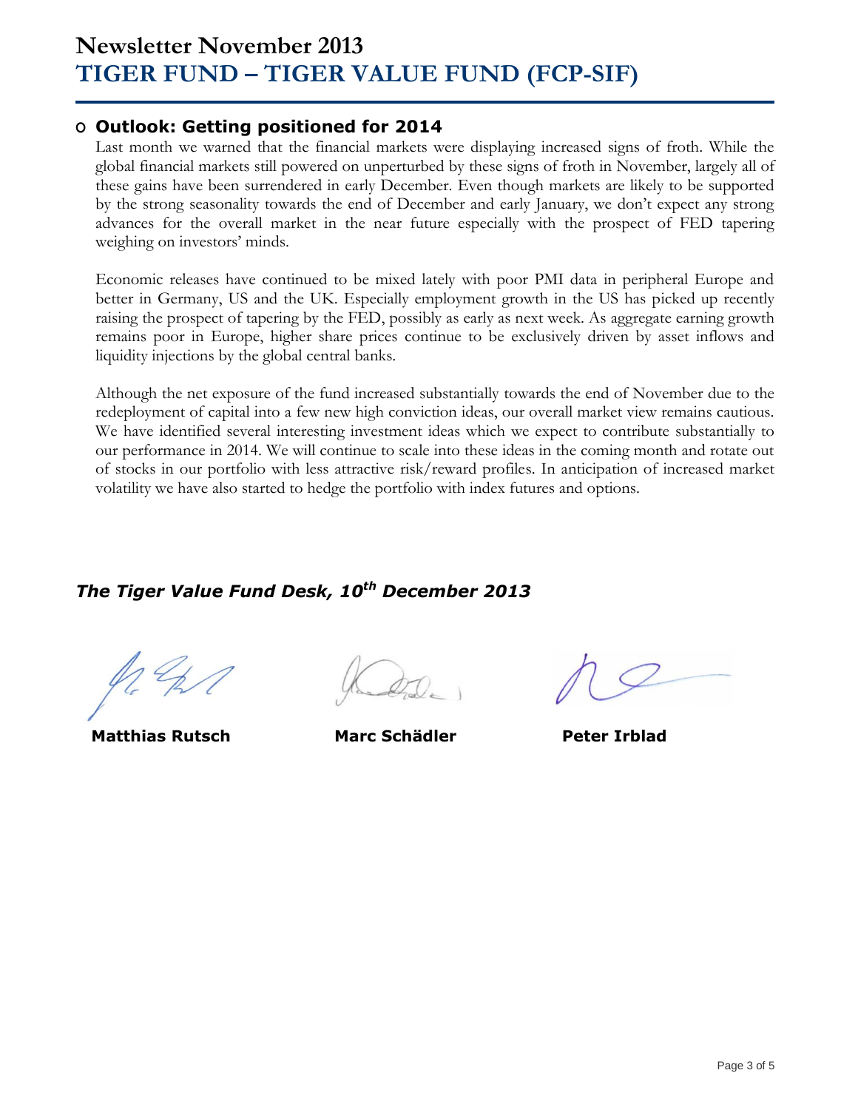# **Newsletter November 2013 TIGER FUND – TIGER VALUE FUND (FCP-SIF)**

### **O Outlook: Getting positioned for 2014**

Last month we warned that the financial markets were displaying increased signs of froth. While the global financial markets still powered on unperturbed by these signs of froth in November, largely all of these gains have been surrendered in early December. Even though markets are likely to be supported by the strong seasonality towards the end of December and early January, we don't expect any strong advances for the overall market in the near future especially with the prospect of FED tapering weighing on investors' minds.

Economic releases have continued to be mixed lately with poor PMI data in peripheral Europe and better in Germany, US and the UK. Especially employment growth in the US has picked up recently raising the prospect of tapering by the FED, possibly as early as next week. As aggregate earning growth remains poor in Europe, higher share prices continue to be exclusively driven by asset inflows and liquidity injections by the global central banks.

Although the net exposure of the fund increased substantially towards the end of November due to the redeployment of capital into a few new high conviction ideas, our overall market view remains cautious. We have identified several interesting investment ideas which we expect to contribute substantially to our performance in 2014. We will continue to scale into these ideas in the coming month and rotate out of stocks in our portfolio with less attractive risk/reward profiles. In anticipation of increased market volatility we have also started to hedge the portfolio with index futures and options.

## *The Tiger Value Fund Desk, 10th December 2013*

**Matthias Rutsch Marc Schädler Peter Irblad**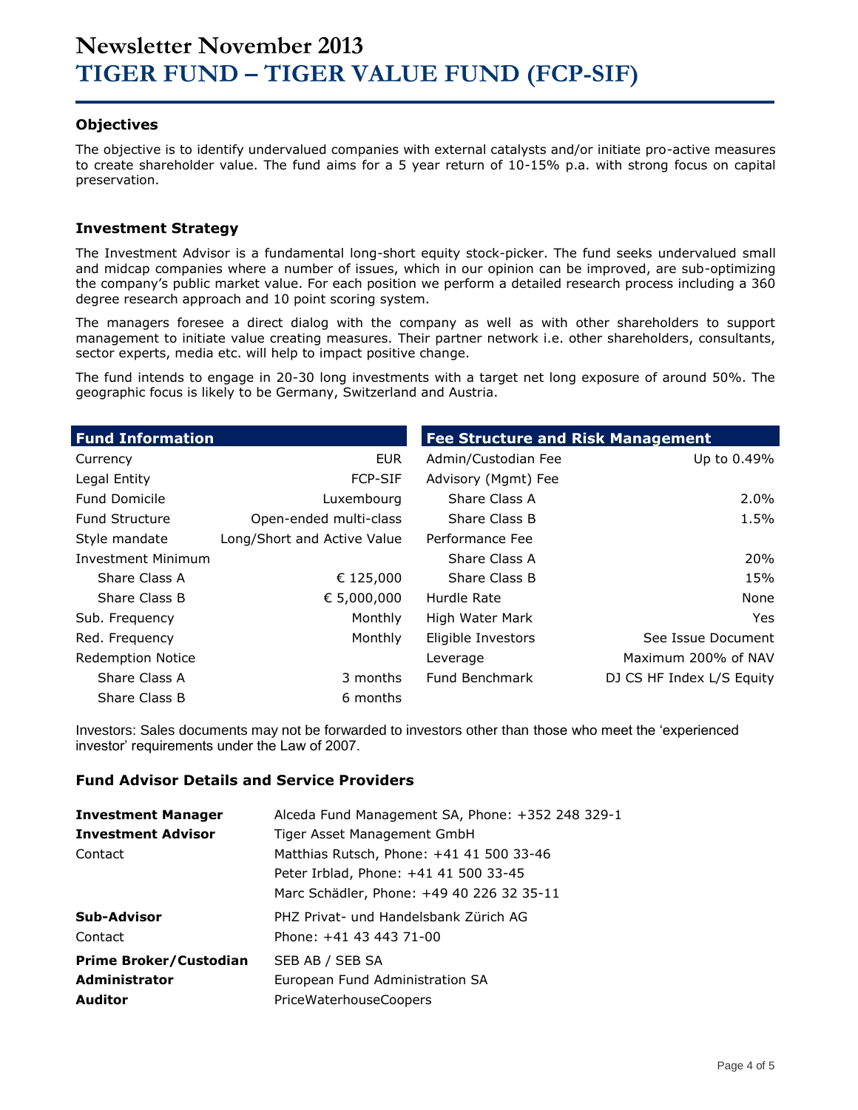### **Objectives**

The objective is to identify undervalued companies with external catalysts and/or initiate pro-active measures to create shareholder value. The fund aims for a 5 year return of 10-15% p.a. with strong focus on capital preservation.

### **Investment Strategy**

The Investment Advisor is a fundamental long-short equity stock-picker. The fund seeks undervalued small and midcap companies where a number of issues, which in our opinion can be improved, are sub-optimizing the company's public market value. For each position we perform a detailed research process including a 360 degree research approach and 10 point scoring system.

The managers foresee a direct dialog with the company as well as with other shareholders to support management to initiate value creating measures. Their partner network i.e. other shareholders, consultants, sector experts, media etc. will help to impact positive change.

The fund intends to engage in 20-30 long investments with a target net long exposure of around 50%. The geographic focus is likely to be Germany, Switzerland and Austria.

| <b>Fund Information</b>   |                             | <b>Fee Structure and Risk Management</b> |                           |  |  |  |  |
|---------------------------|-----------------------------|------------------------------------------|---------------------------|--|--|--|--|
| Currency                  | <b>EUR</b>                  | Admin/Custodian Fee                      | Up to 0.49%               |  |  |  |  |
| Legal Entity              | <b>FCP-SIF</b>              | Advisory (Mgmt) Fee                      |                           |  |  |  |  |
| <b>Fund Domicile</b>      | Luxembourg                  | Share Class A                            | $2.0\%$                   |  |  |  |  |
| <b>Fund Structure</b>     | Open-ended multi-class      | Share Class B                            | 1.5%                      |  |  |  |  |
| Style mandate             | Long/Short and Active Value | Performance Fee                          |                           |  |  |  |  |
| <b>Investment Minimum</b> |                             | Share Class A                            | 20%                       |  |  |  |  |
| Share Class A             | € 125,000                   | Share Class B                            | 15%                       |  |  |  |  |
| Share Class B             | € 5,000,000                 | Hurdle Rate                              | None                      |  |  |  |  |
| Sub. Frequency            | Monthly                     | High Water Mark                          | <b>Yes</b>                |  |  |  |  |
| Red. Frequency            | Monthly                     | Eligible Investors                       | See Issue Document        |  |  |  |  |
| <b>Redemption Notice</b>  |                             | Leverage                                 | Maximum 200% of NAV       |  |  |  |  |
| Share Class A             | 3 months                    | Fund Benchmark                           | DJ CS HF Index L/S Equity |  |  |  |  |
| Share Class B             | 6 months                    |                                          |                           |  |  |  |  |

Investors: Sales documents may not be forwarded to investors other than those who meet the 'experienced investor' requirements under the Law of 2007.

### **Fund Advisor Details and Service Providers**

| <b>Investment Manager</b><br><b>Investment Advisor</b><br>Contact | Alceda Fund Management SA, Phone: +352 248 329-1<br>Tiger Asset Management GmbH<br>Matthias Rutsch, Phone: +41 41 500 33-46<br>Peter Irblad, Phone: +41 41 500 33-45<br>Marc Schädler, Phone: +49 40 226 32 35-11 |
|-------------------------------------------------------------------|-------------------------------------------------------------------------------------------------------------------------------------------------------------------------------------------------------------------|
| Sub-Advisor                                                       | PHZ Privat- und Handelsbank Zürich AG                                                                                                                                                                             |
| Contact                                                           | Phone: +41 43 443 71-00                                                                                                                                                                                           |
| <b>Prime Broker/Custodian</b>                                     | SEB AB / SEB SA                                                                                                                                                                                                   |
| <b>Administrator</b>                                              | European Fund Administration SA                                                                                                                                                                                   |
| <b>Auditor</b>                                                    | PriceWaterhouseCoopers                                                                                                                                                                                            |